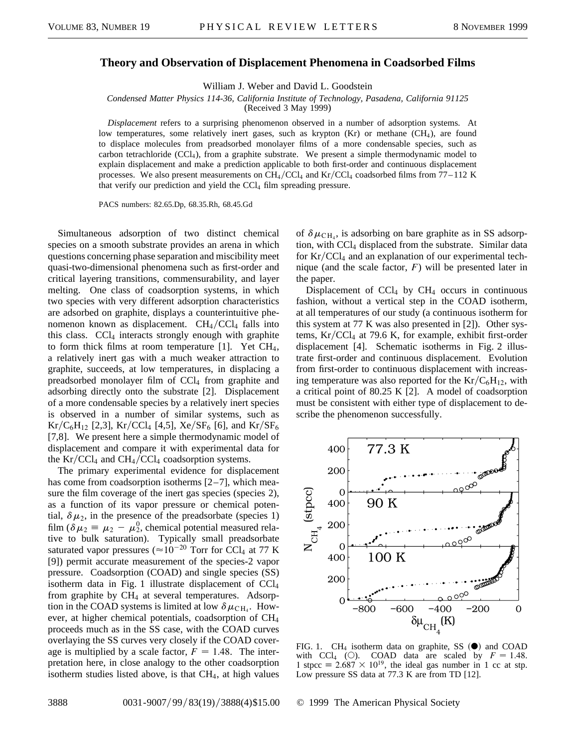## **Theory and Observation of Displacement Phenomena in Coadsorbed Films**

William J. Weber and David L. Goodstein

*Condensed Matter Physics 114-36, California Institute of Technology, Pasadena, California 91125*

(Received 3 May 1999)

*Displacement* refers to a surprising phenomenon observed in a number of adsorption systems. At low temperatures, some relatively inert gases, such as krypton (Kr) or methane (CH<sub>4</sub>), are found to displace molecules from preadsorbed monolayer films of a more condensable species, such as carbon tetrachloride  $(CC1<sub>4</sub>)$ , from a graphite substrate. We present a simple thermodynamic model to explain displacement and make a prediction applicable to both first-order and continuous displacement processes. We also present measurements on  $CH_4/CCl_4$  and  $Kr/CCl_4$  coadsorbed films from 77–112 K that verify our prediction and yield the CCl<sub>4</sub> film spreading pressure.

PACS numbers: 82.65.Dp, 68.35.Rh, 68.45.Gd

Simultaneous adsorption of two distinct chemical species on a smooth substrate provides an arena in which questions concerning phase separation and miscibility meet quasi-two-dimensional phenomena such as first-order and critical layering transitions, commensurability, and layer melting. One class of coadsorption systems, in which two species with very different adsorption characteristics are adsorbed on graphite, displays a counterintuitive phenomenon known as displacement.  $CH<sub>4</sub>/CCl<sub>4</sub>$  falls into this class.  $CCl<sub>4</sub>$  interacts strongly enough with graphite to form thick films at room temperature  $[1]$ . Yet CH<sub>4</sub>, a relatively inert gas with a much weaker attraction to graphite, succeeds, at low temperatures, in displacing a preadsorbed monolayer film of  $CCl<sub>4</sub>$  from graphite and adsorbing directly onto the substrate [2]. Displacement of a more condensable species by a relatively inert species is observed in a number of similar systems, such as  $Kr/C_6H_{12}$  [2,3],  $Kr/CCl_4$  [4,5],  $Xe/SF_6$  [6], and  $Kr/SF_6$ [7,8]. We present here a simple thermodynamic model of displacement and compare it with experimental data for the  $Kr/CCl_4$  and  $CH_4/CCl_4$  coadsorption systems.

The primary experimental evidence for displacement has come from coadsorption isotherms  $[2-7]$ , which measure the film coverage of the inert gas species (species 2), as a function of its vapor pressure or chemical potential,  $\delta \mu_2$ , in the presence of the preadsorbate (species 1) film ( $\delta \mu_2 \equiv \mu_2 - \mu_2^0$ , chemical potential measured relative to bulk saturation). Typically small preadsorbate saturated vapor pressures ( $\approx 10^{-20}$  Torr for CCl<sub>4</sub> at 77 K [9]) permit accurate measurement of the species-2 vapor pressure. Coadsorption (COAD) and single species (SS) isotherm data in Fig. 1 illustrate displacement of CCl<sup>4</sup> from graphite by  $CH_4$  at several temperatures. Adsorption in the COAD systems is limited at low  $\delta \mu_{\text{CH}_4}$ . However, at higher chemical potentials, coadsorption of CH<sup>4</sup> proceeds much as in the SS case, with the COAD curves overlaying the SS curves very closely if the COAD coverage is multiplied by a scale factor,  $F = 1.48$ . The interpretation here, in close analogy to the other coadsorption isotherm studies listed above, is that CH4, at high values

of  $\delta \mu_{\text{CH}_4}$ , is adsorbing on bare graphite as in SS adsorption, with CCl<sub>4</sub> displaced from the substrate. Similar data for  $Kr/CCl_4$  and an explanation of our experimental technique (and the scale factor, *F*) will be presented later in the paper.

Displacement of  $CCl<sub>4</sub>$  by  $CH<sub>4</sub>$  occurs in continuous fashion, without a vertical step in the COAD isotherm, at all temperatures of our study (a continuous isotherm for this system at 77 K was also presented in [2]). Other systems,  $Kr/CCl<sub>4</sub>$  at 79.6 K, for example, exhibit first-order displacement [4]. Schematic isotherms in Fig. 2 illustrate first-order and continuous displacement. Evolution from first-order to continuous displacement with increasing temperature was also reported for the  $Kr/C_6H_{12}$ , with a critical point of 80.25 K [2]. A model of coadsorption must be consistent with either type of displacement to describe the phenomenon successfully.



FIG. 1.  $CH_4$  isotherm data on graphite, SS  $\left(\bigodot\right)$  and COAD with CCl<sub>4</sub> (O). COAD data are scaled by  $F = 1.48$ . 1 stpcc =  $2.687 \times 10^{19}$ , the ideal gas number in 1 cc at stp. Low pressure SS data at 77.3 K are from TD [12].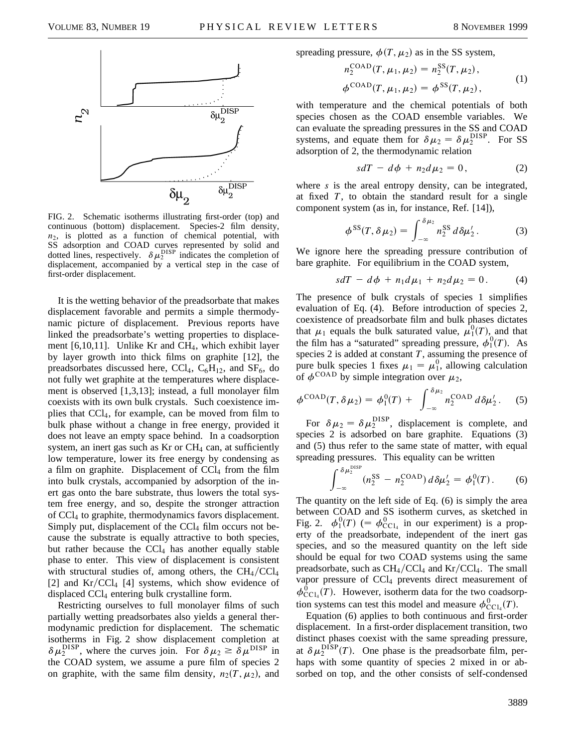

FIG. 2. Schematic isotherms illustrating first-order (top) and continuous (bottom) displacement. Species-2 film density, *n*2, is plotted as a function of chemical potential, with SS adsorption and COAD curves represented by solid and dotted lines, respectively.  $\delta \mu_2^{\text{DISP}}$  indicates the completion of displacement, accompanied by a vertical step in the case of first-order displacement.

It is the wetting behavior of the preadsorbate that makes displacement favorable and permits a simple thermodynamic picture of displacement. Previous reports have linked the preadsorbate's wetting properties to displacement  $[6,10,11]$ . Unlike Kr and CH<sub>4</sub>, which exhibit layer by layer growth into thick films on graphite [12], the preadsorbates discussed here, CCl<sub>4</sub>, C<sub>6</sub>H<sub>12</sub>, and SF<sub>6</sub>, do not fully wet graphite at the temperatures where displacement is observed [1,3,13]; instead, a full monolayer film coexists with its own bulk crystals. Such coexistence implies that CCl4, for example, can be moved from film to bulk phase without a change in free energy, provided it does not leave an empty space behind. In a coadsorption system, an inert gas such as  $Kr$  or  $CH<sub>4</sub>$  can, at sufficiently low temperature, lower its free energy by condensing as a film on graphite. Displacement of  $CCl<sub>4</sub>$  from the film into bulk crystals, accompanied by adsorption of the inert gas onto the bare substrate, thus lowers the total system free energy, and so, despite the stronger attraction of CCl<sup>4</sup> to graphite, thermodynamics favors displacement. Simply put, displacement of the  $\text{CCl}_4$  film occurs not because the substrate is equally attractive to both species, but rather because the  $CCl<sub>4</sub>$  has another equally stable phase to enter. This view of displacement is consistent with structural studies of, among others, the  $CH<sub>4</sub>/CCl<sub>4</sub>$ [2] and  $Kr/CCl_4$  [4] systems, which show evidence of displaced CCl<sup>4</sup> entering bulk crystalline form.

Restricting ourselves to full monolayer films of such partially wetting preadsorbates also yields a general thermodynamic prediction for displacement. The schematic isotherms in Fig. 2 show displacement completion at  $\delta \mu_2^{\text{DISP}}$ , where the curves join. For  $\delta \mu_2 \geq \delta \mu^{\text{DISP}}$  in the COAD system, we assume a pure film of species 2 on graphite, with the same film density,  $n_2(T, \mu_2)$ , and spreading pressure,  $\phi(T, \mu_2)$  as in the SS system,

$$
n_2^{\text{COAD}}(T, \mu_1, \mu_2) = n_2^{\text{SS}}(T, \mu_2),
$$
  

$$
\phi^{\text{COAD}}(T, \mu_1, \mu_2) = \phi^{\text{SS}}(T, \mu_2),
$$
 (1)

with temperature and the chemical potentials of both species chosen as the COAD ensemble variables. We can evaluate the spreading pressures in the SS and COAD systems, and equate them for  $\delta \mu_2 = \delta \mu_2^{\text{DISP}}$ . For SS adsorption of 2, the thermodynamic relation

$$
sdT - d\phi + n_2 d\mu_2 = 0, \qquad (2)
$$

where *s* is the areal entropy density, can be integrated, at fixed *T*, to obtain the standard result for a single component system (as in, for instance, Ref. [14]),

$$
\phi^{SS}(T,\delta\mu_2) = \int_{-\infty}^{\delta\mu_2} n_2^{SS} d\delta\mu'_2.
$$
 (3)

We ignore here the spreading pressure contribution of bare graphite. For equilibrium in the COAD system,

$$
sdT - d\phi + n_1 d\mu_1 + n_2 d\mu_2 = 0.
$$
 (4)

The presence of bulk crystals of species 1 simplifies evaluation of Eq. (4). Before introduction of species 2, coexistence of preadsorbate film and bulk phases dictates that  $\mu_1$  equals the bulk saturated value,  $\mu_1^0(T)$ , and that the film has a "saturated" spreading pressure,  $\phi_1^0(T)$ . As species 2 is added at constant *T*, assuming the presence of pure bulk species 1 fixes  $\mu_1 = \mu_1^0$ , allowing calculation of  $\phi^{\text{COAD}}$  by simple integration over  $\mu_2$ ,

$$
\phi^{\text{COAD}}(T,\delta\mu_2) = \phi_1^0(T) + \int_{-\infty}^{\delta\mu_2} n_2^{\text{COAD}} d\delta\mu'_2. \quad (5)
$$

For  $\delta \mu_2 = \delta \mu_2^{\text{DISP}}$ , displacement is complete, and species 2 is adsorbed on bare graphite. Equations (3) and (5) thus refer to the same state of matter, with equal spreading pressures. This equality can be written a DISP

$$
\int_{-\infty}^{\delta \mu_2^{\text{max}}} (n_2^{\text{SS}} - n_2^{\text{COAD}}) \, d \delta \mu_2' = \phi_1^0(T). \tag{6}
$$

The quantity on the left side of Eq. (6) is simply the area between COAD and SS isotherm curves, as sketched in Fig. 2.  $\phi_1^0(T)$  (=  $\phi_{\text{CCl}_4}^0$  in our experiment) is a property of the preadsorbate, independent of the inert gas species, and so the measured quantity on the left side should be equal for two COAD systems using the same preadsorbate, such as  $CH_4/CCl_4$  and  $Kr/CCl_4$ . The small vapor pressure of  $\text{CCl}_4$  prevents direct measurement of  $\phi_{\text{CCl}_4}^0(T)$ . However, isotherm data for the two coadsorption systems can test this model and measure  $\phi_{\text{CCl}_4}^0(T)$ .

Equation (6) applies to both continuous and first-order displacement. In a first-order displacement transition, two distinct phases coexist with the same spreading pressure, at  $\delta \mu_2^{\text{DISP}}(T)$ . One phase is the preadsorbate film, perhaps with some quantity of species 2 mixed in or absorbed on top, and the other consists of self-condensed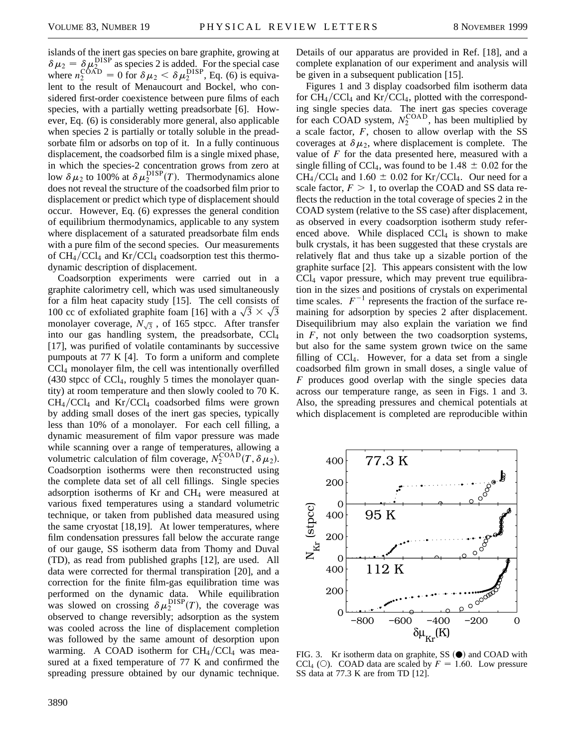islands of the inert gas species on bare graphite, growing at  $\delta \mu_2 = \delta \mu_2^{\text{DISP}}$  as species 2 is added. For the special case where  $n_2^{\text{COAD}} = 0$  for  $\delta \mu_2 < \delta \mu_2^{\text{DISP}}$ , Eq. (6) is equivalent to the result of Menaucourt and Bockel, who considered first-order coexistence between pure films of each species, with a partially wetting preadsorbate [6]. However, Eq. (6) is considerably more general, also applicable when species 2 is partially or totally soluble in the preadsorbate film or adsorbs on top of it. In a fully continuous displacement, the coadsorbed film is a single mixed phase, in which the species-2 concentration grows from zero at low  $\delta \mu_2$  to 100% at  $\delta \mu_2^{\text{DISP}}(T)$ . Thermodynamics alone does not reveal the structure of the coadsorbed film prior to displacement or predict which type of displacement should occur. However, Eq. (6) expresses the general condition of equilibrium thermodynamics, applicable to any system where displacement of a saturated preadsorbate film ends with a pure film of the second species. Our measurements of  $CH_4/CCl_4$  and  $Kr/CCl_4$  coadsorption test this thermodynamic description of displacement.

Coadsorption experiments were carried out in a graphite calorimetry cell, which was used simultaneously for a film heat capacity study [15]. The cell consists of for a film heat capacity study [15]. The cell consists of 100 cc of exfoliated graphite foam [16] with a  $\sqrt{3} \times \sqrt{3}$ monolayer coverage,  $N_{\sqrt{3}}$ , of 165 stpcc. After transfer into our gas handling system, the preadsorbate, CCl<sup>4</sup> [17], was purified of volatile contaminants by successive pumpouts at 77 K [4]. To form a uniform and complete CCl<sup>4</sup> monolayer film, the cell was intentionally overfilled  $(430 \text{ stpec of } CCl<sub>4</sub>, roughly 5 times the monolayer quan$ tity) at room temperature and then slowly cooled to 70 K.  $CH_4/CCl_4$  and  $Kr/CCl_4$  coadsorbed films were grown by adding small doses of the inert gas species, typically less than 10% of a monolayer. For each cell filling, a dynamic measurement of film vapor pressure was made while scanning over a range of temperatures, allowing a volumetric calculation of film coverage,  $N_2^{\text{COAD}}(T, \delta \mu_2)$ . Coadsorption isotherms were then reconstructed using the complete data set of all cell fillings. Single species adsorption isotherms of Kr and  $CH<sub>4</sub>$  were measured at various fixed temperatures using a standard volumetric technique, or taken from published data measured using the same cryostat [18,19]. At lower temperatures, where film condensation pressures fall below the accurate range of our gauge, SS isotherm data from Thomy and Duval (TD), as read from published graphs [12], are used. All data were corrected for thermal transpiration [20], and a correction for the finite film-gas equilibration time was performed on the dynamic data. While equilibration was slowed on crossing  $\delta \mu_2^{\text{DISP}}(T)$ , the coverage was observed to change reversibly; adsorption as the system was cooled across the line of displacement completion was followed by the same amount of desorption upon warming. A COAD isotherm for  $CH_4/CCl_4$  was measured at a fixed temperature of 77 K and confirmed the spreading pressure obtained by our dynamic technique.

Details of our apparatus are provided in Ref. [18], and a complete explanation of our experiment and analysis will be given in a subsequent publication [15].

Figures 1 and 3 display coadsorbed film isotherm data for  $CH_4/CCl_4$  and  $Kr/CCl_4$ , plotted with the corresponding single species data. The inert gas species coverage for each COAD system,  $N_2^{\text{COAD}}$ , has been multiplied by a scale factor, *F*, chosen to allow overlap with the SS coverages at  $\delta \mu_2$ , where displacement is complete. The value of *F* for the data presented here, measured with a single filling of CCl<sub>4</sub>, was found to be 1.48  $\pm$  0.02 for the  $CH_4/CCl_4$  and 1.60  $\pm$  0.02 for Kr/CCl<sub>4</sub>. Our need for a scale factor,  $F > 1$ , to overlap the COAD and SS data reflects the reduction in the total coverage of species 2 in the COAD system (relative to the SS case) after displacement, as observed in every coadsorption isotherm study referenced above. While displaced  $CCl<sub>4</sub>$  is shown to make bulk crystals, it has been suggested that these crystals are relatively flat and thus take up a sizable portion of the graphite surface [2]. This appears consistent with the low CCl<sup>4</sup> vapor pressure, which may prevent true equilibration in the sizes and positions of crystals on experimental time scales.  $F^{-1}$  represents the fraction of the surface remaining for adsorption by species 2 after displacement. Disequilibrium may also explain the variation we find in *F*, not only between the two coadsorption systems, but also for the same system grown twice on the same filling of  $CCl<sub>4</sub>$ . However, for a data set from a single coadsorbed film grown in small doses, a single value of *F* produces good overlap with the single species data across our temperature range, as seen in Figs. 1 and 3. Also, the spreading pressures and chemical potentials at which displacement is completed are reproducible within



FIG. 3. Kr isotherm data on graphite, SS  $(\bullet)$  and COAD with CCl<sub>4</sub> (O). COAD data are scaled by  $F = 1.60$ . Low pressure SS data at 77.3 K are from TD [12].